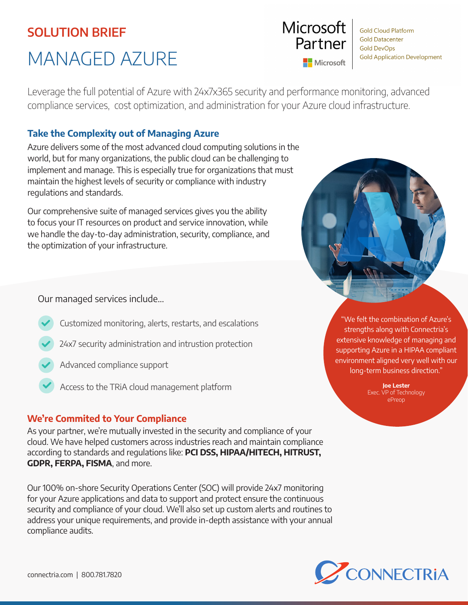# SOLUTION BRIEF

# MANAGED AZURE

Leverage the full potential of Azure with 24x7x365 security and performance monitoring, advanced compliance services, cost optimization, and administration for your Azure cloud infrastructure.

# Take the Complexity out of Managing Azure

Azure delivers some of the most advanced cloud computing solutions in the world, but for many organizations, the public cloud can be challenging to implement and manage. This is especially true for organizations that must maintain the highest levels of security or compliance with industry regulations and standards.

Our comprehensive suite of managed services gives you the ability to focus your IT resources on product and service innovation, while we handle the day-to-day administration, security, compliance, and the optimization of your infrastructure.

Our managed services include...

- Customized monitoring, alerts, restarts, and escalations
- 24x7 security administration and intrustion protection
- Advanced compliance support
- Access to the TRiA cloud management platform

# We're Commited to Your Compliance

As your partner, we're mutually invested in the security and compliance of your cloud. We have helped customers across industries reach and maintain compliance according to standards and regulations like: PCI DSS, HIPAA/HITECH, HITRUST, GDPR, FERPA, FISMA, and more.

Our 100% on-shore Security Operations Center (SOC) will provide 24x7 monitoring for your Azure applications and data to support and protect ensure the continuous security and compliance of your cloud. We'll also set up custom alerts and routines to address your unique requirements, and provide in-depth assistance with your annual compliance audits.



**Gold Cloud Platform Gold Datacenter Gold DevOps Gold Application Development** 



Joe Lester Exec. VP of Technology ePreop